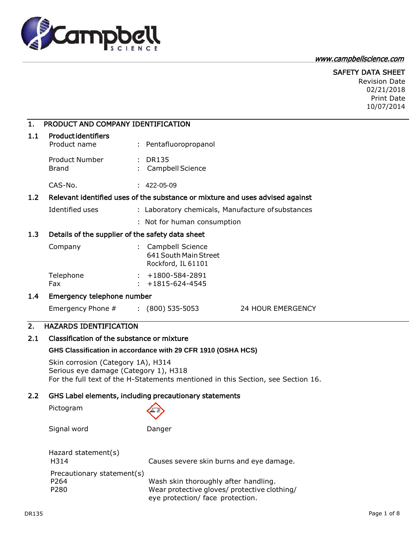

# [www.campbellscience.com](http://www.campbellscience.com/)

## SAFETY DATA SHEET

Revision Date 02/21/2018 Print Date 10/07/2014

| 1.  | PRODUCT AND COMPANY IDENTIFICATION                                          |                                                                                  |
|-----|-----------------------------------------------------------------------------|----------------------------------------------------------------------------------|
| 1.1 | <b>Productidentifiers</b><br>Product name                                   | : Pentafluoropropanol                                                            |
|     | <b>Product Number</b><br><b>Brand</b>                                       | : DR135<br>Campbell Science                                                      |
|     | CAS-No.                                                                     | $: 422 - 05 - 09$                                                                |
| 1.2 |                                                                             | Relevant identified uses of the substance or mixture and uses advised against    |
|     | Identified uses                                                             | : Laboratory chemicals, Manufacture of substances                                |
|     |                                                                             | : Not for human consumption                                                      |
| 1.3 | Details of the supplier of the safety data sheet                            |                                                                                  |
|     | Company                                                                     | : Campbell Science<br>641 South Main Street<br>Rockford, IL 61101                |
|     | Telephone<br>Fax                                                            | $: +1800 - 584 - 2891$<br>$: +1815 - 624 - 4545$                                 |
| 1.4 | Emergency telephone number                                                  |                                                                                  |
|     | Emergency Phone # : (800) 535-5053                                          | <b>24 HOUR EMERGENCY</b>                                                         |
| 2.  | <b>HAZARDS IDENTIFICATION</b>                                               |                                                                                  |
| 2.1 | Classification of the substance or mixture                                  |                                                                                  |
|     |                                                                             | GHS Classification in accordance with 29 CFR 1910 (OSHA HCS)                     |
|     | Skin corrosion (Category 1A), H314<br>Serious eye damage (Category 1), H318 | For the full text of the H-Statements mentioned in this Section, see Section 16. |
| 2.2 |                                                                             | GHS Label elements, including precautionary statements                           |
|     | Pictogram                                                                   |                                                                                  |
|     | Signal word                                                                 | Danger                                                                           |
|     | Hazard statement(s)<br>H314                                                 | Causes severe skin burns and eye damage.                                         |
|     | Precautionary statement(s)                                                  |                                                                                  |

P264 Wash skin thoroughly after handling. P280 Wear protective gloves/ protective clothing/ eye protection/ face protection.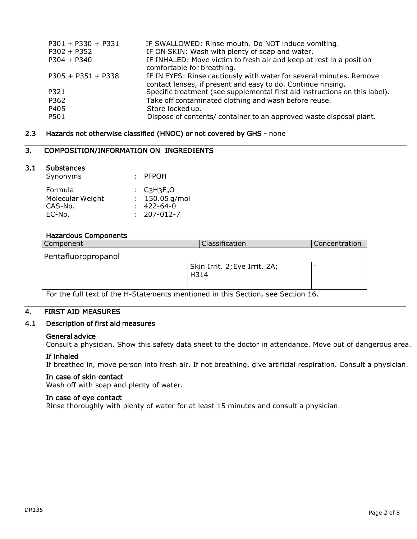| $P301 + P330 + P331$ | IF SWALLOWED: Rinse mouth. Do NOT induce vomiting.                                                                                  |
|----------------------|-------------------------------------------------------------------------------------------------------------------------------------|
| $P302 + P352$        | IF ON SKIN: Wash with plenty of soap and water.                                                                                     |
| $P304 + P340$        | IF INHALED: Move victim to fresh air and keep at rest in a position<br>comfortable for breathing.                                   |
| $P305 + P351 + P338$ | IF IN EYES: Rinse cautiously with water for several minutes. Remove<br>contact lenses, if present and easy to do. Continue rinsing. |
| P321                 | Specific treatment (see supplemental first aid instructions on this label).                                                         |
| P362                 | Take off contaminated clothing and wash before reuse.                                                                               |
| P405                 | Store locked up.                                                                                                                    |
| P501                 | Dispose of contents/ container to an approved waste disposal plant.                                                                 |

## 2.3 Hazards not otherwise classified (HNOC) or not covered by GHS - none

# 3. COMPOSITION/INFORMATION ON INGREDIENTS

#### 3.1 Substances

| Synonyms         | : PFPOH                                               |
|------------------|-------------------------------------------------------|
| Formula          | $\div$ C <sub>3</sub> H <sub>3</sub> F <sub>5</sub> O |
| Molecular Weight | : $150.05$ g/mol                                      |
| CAS-No.          | $: 422 - 64 - 0$                                      |
| EC-No.           | $: 207 - 012 - 7$                                     |

#### Hazardous Components

| Component           | Classification                        | Concentration |
|---------------------|---------------------------------------|---------------|
| Pentafluoropropanol |                                       |               |
|                     | Skin Irrit. 2; Eye Irrit. 2A;<br>H314 |               |

For the full text of the H-Statements mentioned in this Section, see Section 16.

# 4. FIRST AID MEASURES

## 4.1 Description of first aid measures

#### General advice

Consult a physician. Show this safety data sheet to the doctor in attendance. Move out of dangerous area.

#### If inhaled

If breathed in, move person into fresh air. If not breathing, give artificial respiration. Consult a physician.

#### In case of skin contact

Wash off with soap and plenty of water.

#### In case of eye contact

Rinse thoroughly with plenty of water for at least 15 minutes and consult a physician.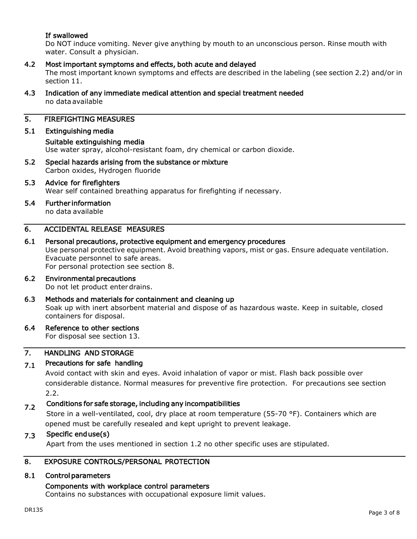# If swallowed

Do NOT induce vomiting. Never give anything by mouth to an unconscious person. Rinse mouth with water. Consult a physician.

# 4.2 Most important symptoms and effects, both acute and delayed

The most important known symptoms and effects are described in the labeling (see section 2.2) and/or in section 11.

4.3 Indication of any immediate medical attention and special treatment needed no data available

# 5. FIREFIGHTING MEASURES

## 5.1 Extinguishing media

```
Suitable extinguishing media
```
Use water spray, alcohol-resistant foam, dry chemical or carbon dioxide.

5.2 Special hazards arising from the substance or mixture Carbon oxides, Hydrogen fluoride

# 5.3 Advice for firefighters

Wear self contained breathing apparatus for firefighting if necessary.

5.4 Further information

no data available

# 6. ACCIDENTAL RELEASE MEASURES

#### 6.1 Personal precautions, protective equipment and emergency procedures

Use personal protective equipment. Avoid breathing vapors, mist or gas. Ensure adequate ventilation. Evacuate personnel to safe areas.

For personal protection see section 8.

#### 6.2 Environmental precautions Do not let product enter drains.

6.3 Methods and materials for containment and cleaning up Soak up with inert absorbent material and dispose of as hazardous waste. Keep in suitable, closed containers for disposal.

#### 6.4 Reference to other sections

For disposal see section 13.

#### 7. HANDLING AND STORAGE

#### 7.1 Precautions for safe handling

Avoid contact with skin and eyes. Avoid inhalation of vapor or mist. Flash back possible over considerable distance. Normal measures for preventive fire protection. For precautions see section 2.2.

#### 7.2 Conditions for safe storage, including any incompatibilities

Store in a well-ventilated, cool, dry place at room temperature (55-70 °F). Containers which are opened must be carefully resealed and kept upright to prevent leakage.

#### 7.3 Specific end use(s)

Apart from the uses mentioned in section 1.2 no other specific uses are stipulated.

# 8. EXPOSURE CONTROLS/PERSONAL PROTECTION

#### 8.1 Control parameters

#### Components with workplace control parameters

Contains no substances with occupational exposure limit values.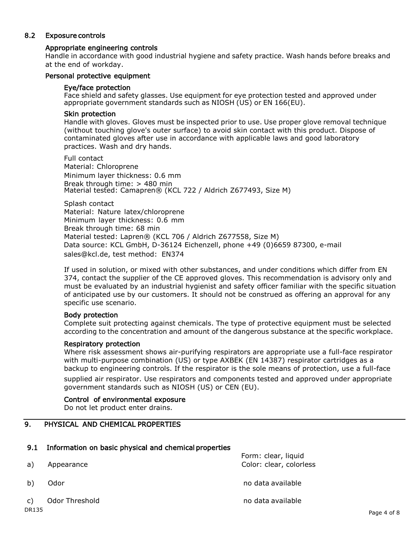# 8.2 Exposure controls

# Appropriate engineering controls

Handle in accordance with good industrial hygiene and safety practice. Wash hands before breaks and at the end of workday.

## Personal protective equipment

#### Eye/face protection

Face shield and safety glasses. Use equipment for eye protection tested and approved under appropriate government standards such as NIOSH (US) or EN 166(EU).

#### Skin protection

Handle with gloves. Gloves must be inspected prior to use. Use proper glove removal technique (without touching glove's outer surface) to avoid skin contact with this product. Dispose of contaminated gloves after use in accordance with applicable laws and good laboratory practices. Wash and dry hands.

Full contact

Material: Chloroprene Minimum layer thickness: 0.6 mm Break through time: > 480 min Material tested: Camapren® (KCL 722 / Aldrich Z677493, Size M)

Splash contact Material: Nature latex/chloroprene Minimum layer thickness: 0.6 mm Break through time: 68 min Material tested: Lapren® (KCL 706 / Aldrich Z677558, Size M) Data source: KCL GmbH, D-36124 Eichenzell, phone +49 (0)6659 87300, e-mail [sales@kcl.de,](mailto:sales@kcl.de) test method: EN374

If used in solution, or mixed with other substances, and under conditions which differ from EN 374, contact the supplier of the CE approved gloves. This recommendation is advisory only and must be evaluated by an industrial hygienist and safety officer familiar with the specific situation of anticipated use by our customers. It should not be construed as offering an approval for any specific use scenario.

#### Body protection

Complete suit protecting against chemicals. The type of protective equipment must be selected according to the concentration and amount of the dangerous substance at the specific workplace.

#### Respiratory protection

Where risk assessment shows air-purifying respirators are appropriate use a full-face respirator with multi-purpose combination (US) or type AXBEK (EN 14387) respirator cartridges as a backup to engineering controls. If the respirator is the sole means of protection, use a full-face supplied air respirator. Use respirators and components tested and approved under appropriate government standards such as NIOSH (US) or CEN (EU).

#### Control of environmental exposure

Do not let product enter drains.

# 9. PHYSICAL AND CHEMICAL PROPERTIES

#### 9.1 Information on basic physical and chemical properties

Form: clear, liquid a) Appearance **Color: Color: clear, colorless** b) Odor no data available c) Odor Threshold contract the contract of the contract of the contract of the contract of the contract of the contract of the contract of the contract of the contract of the contract of the contract of the contract of the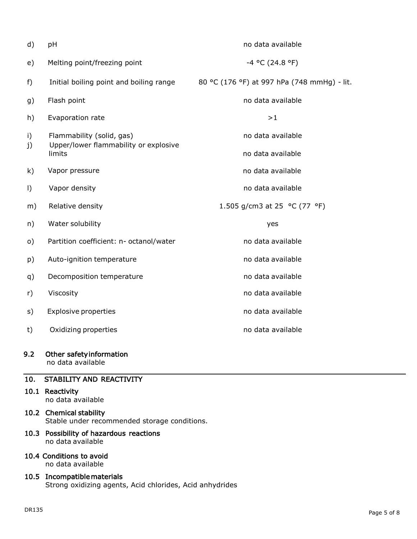| d)        | pH                                              | no data available                           |
|-----------|-------------------------------------------------|---------------------------------------------|
| e)        | Melting point/freezing point                    | $-4$ °C (24.8 °F)                           |
| $f$ )     | Initial boiling point and boiling range         | 80 °C (176 °F) at 997 hPa (748 mmHg) - lit. |
| g)        | Flash point                                     | no data available                           |
| h)        | Evaporation rate                                | >1                                          |
| i)        | Flammability (solid, gas)                       | no data available                           |
| j)        | Upper/lower flammability or explosive<br>limits | no data available                           |
| k)        | Vapor pressure                                  | no data available                           |
| $\vert$ ) | Vapor density                                   | no data available                           |
| m)        | Relative density                                | 1.505 g/cm3 at 25 °C (77 °F)                |
| n)        | Water solubility                                | yes                                         |
| $\circ)$  | Partition coefficient: n- octanol/water         | no data available                           |
| p)        | Auto-ignition temperature                       | no data available                           |
| q)        | Decomposition temperature                       | no data available                           |
| r)        | Viscosity                                       | no data available                           |
| s)        | <b>Explosive properties</b>                     | no data available                           |
| t)        | Oxidizing properties                            | no data available                           |
|           |                                                 |                                             |

# 9.2 Other safety information

no data available

# 10. STABILITY AND REACTIVITY

# 10.1 Reactivity

no data available

10.2 Chemical stability Stable under recommended storage conditions.

# 10.3 Possibility of hazardous reactions no data available

10.4 Conditions to avoid no data available

# 10.5 Incompatible materials Strong oxidizing agents, Acid chlorides, Acid anhydrides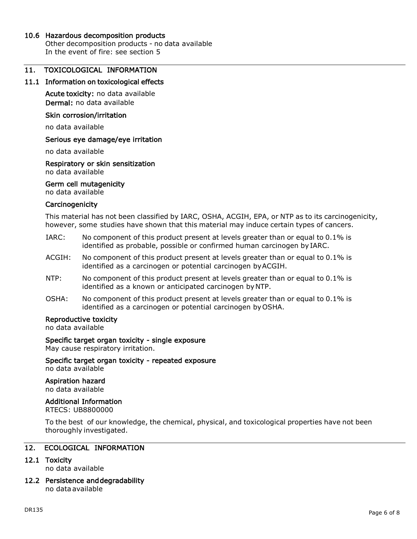#### 10.6 Hazardous decomposition products

Other decomposition products - no data available In the event of fire: see section 5

## 11. TOXICOLOGICAL INFORMATION

#### 11.1 Information on toxicological effects

Acute toxicity: no data available Dermal: no data available

#### Skin corrosion/irritation

no data available

#### Serious eye damage/eye irritation

no data available

## Respiratory or skin sensitization

no data available

#### Germ cell mutagenicity

no data available

#### **Carcinogenicity**

This material has not been classified by IARC, OSHA, ACGIH, EPA, or NTP as to its carcinogenicity, however, some studies have shown that this material may induce certain types of cancers.

- IARC: No component of this product present at levels greater than or equal to 0.1% is identified as probable, possible or confirmed human carcinogen by IARC.
- ACGIH: No component of this product present at levels greater than or equal to 0.1% is identified as a carcinogen or potential carcinogen byACGIH.
- NTP: No component of this product present at levels greater than or equal to 0.1% is identified as a known or anticipated carcinogen byNTP.
- OSHA: No component of this product present at levels greater than or equal to 0.1% is identified as a carcinogen or potential carcinogen by OSHA.

#### Reproductive toxicity

no data available

#### Specific target organ toxicity - single exposure

May cause respiratory irritation.

Specific target organ toxicity - repeated exposure no data available

#### Aspiration hazard

no data available

#### Additional Information

RTECS: UB8800000

To the best of our knowledge, the chemical, physical, and toxicological properties have not been thoroughly investigated.

#### 12. ECOLOGICAL INFORMATION

#### 12.1 Toxicity

no data available

12.2 Persistence and degradability no data available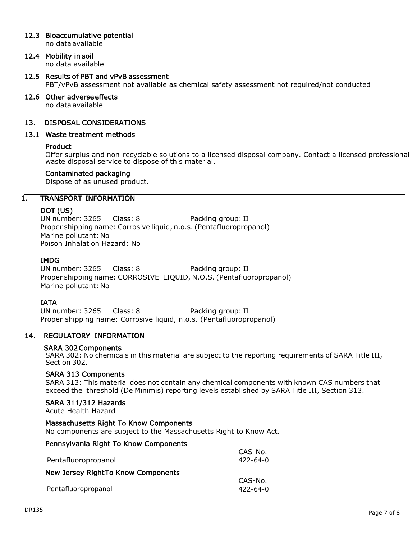# 12.3 Bioaccumulative potential

no data available

# 12.4 Mobility in soil

no data available

## 12.5 Results of PBT and vPvB assessment PBT/vPvB assessment not available as chemical safety assessment not required/not conducted

#### 12.6 Other adverse effects

no data available

#### 13. DISPOSAL CONSIDERATIONS

#### 13.1 Waste treatment methods

#### Product

Offer surplus and non-recyclable solutions to a licensed disposal company. Contact a licensed professional waste disposal service to dispose of this material.

#### Contaminated packaging

Dispose of as unused product.

#### 1. TRANSPORT INFORMATION

#### DOT (US)

UN number: 3265 Class: 8 Packing group: II Proper shipping name: Corrosive liquid, n.o.s. (Pentafluoropropanol) Marine pollutant: No Poison Inhalation Hazard: No

#### IMDG

UN number: 3265 Class: 8 Packing group: II Proper shipping name: CORROSIVE LIQUID, N.O.S. (Pentafluoropropanol) Marine pollutant: No

#### **IATA**

UN number: 3265 Class: 8 Packing group: II Proper shipping name: Corrosive liquid, n.o.s. (Pentafluoropropanol)

# 14. REGULATORY INFORMATION

#### SARA 302 Components

SARA 302: No chemicals in this material are subject to the reporting requirements of SARA Title III, Section 302.

#### SARA 313 Components

SARA 313: This material does not contain any chemical components with known CAS numbers that exceed the threshold (De Minimis) reporting levels established by SARA Title III, Section 313.

#### SARA 311/312 Hazards

Acute Health Hazard

# Massachusetts Right To Know Components

No components are subject to the Massachusetts Right to Know Act.

#### Pennsylvania Right To Know Components

| Pentafluoropropanol                | CAS-No.<br>422-64-0 |
|------------------------------------|---------------------|
| New Jersey RightTo Know Components |                     |
| Pentafluoropropanol                | CAS-No.<br>422-64-0 |